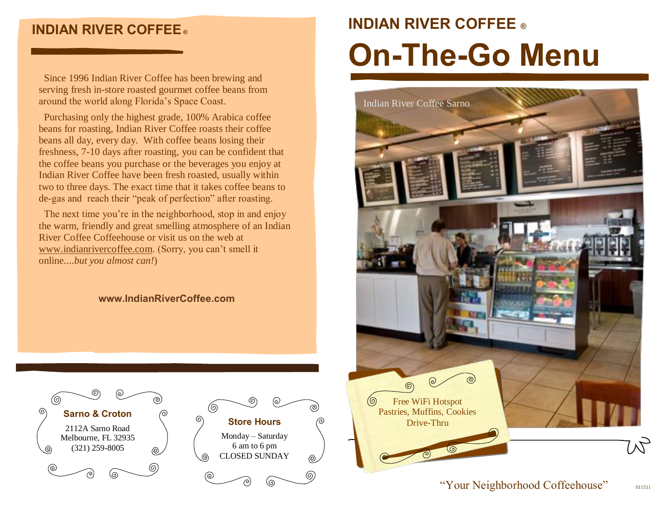# **INDIAN RIVER COFFEE ®**

 Since 1996 Indian River Coffee has been brewing and serving fresh in-store roasted gourmet coffee beans from around the world along Florida's Space Coast.

 Purchasing only the highest grade, 100% Arabica coffee beans for roasting, Indian River Coffee roasts their coffee beans all day, every day. With coffee beans losing their freshness, 7-10 days after roasting, you can be confident that the coffee beans you purchase or the beverages you enjoy at Indian River Coffee have been fresh roasted, usually within two to three days. The exact time that it takes coffee beans to de-gas and reach their "peak of perfection" after roasting.

 The next time you're in the neighborhood, stop in and enjoy the warm, friendly and great smelling atmosphere of an Indian River Coffee Coffeehouse or visit us on the web at www.indianrivercoffee.com. (Sorry, you can't smell it online....*but you almost can!*)

## **[www.IndianRiverCoffee.com](http://www.indianrivercoffee.com/)**





# **INDIAN RIVER COFFEE ® On-The-Go Menu**



# "Your Neighborhood Coffeehouse" 011511